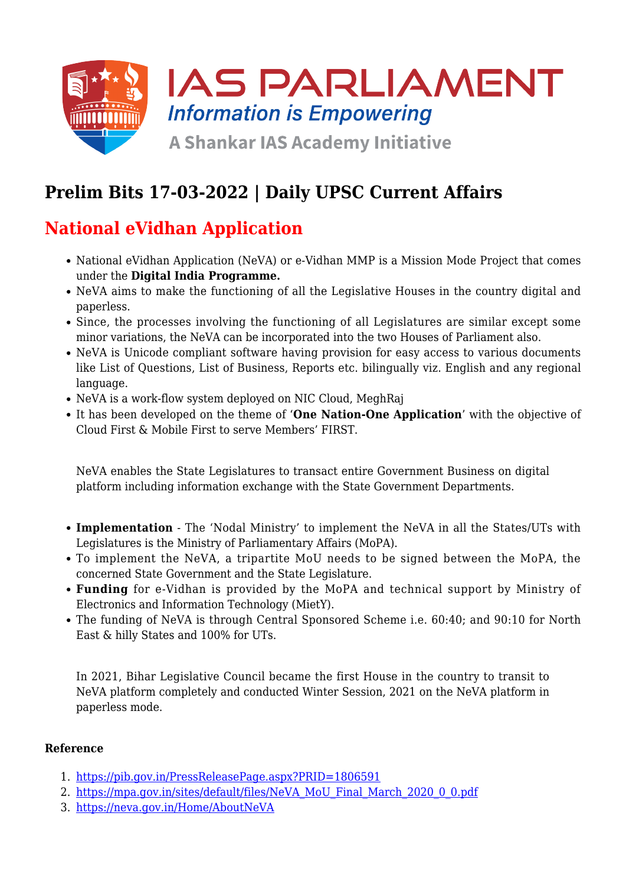

# **Prelim Bits 17-03-2022 | Daily UPSC Current Affairs**

# **National eVidhan Application**

- National eVidhan Application (NeVA) or e-Vidhan MMP is a Mission Mode Project that comes under the **Digital India Programme.**
- NeVA aims to make the functioning of all the Legislative Houses in the country digital and paperless.
- Since, the processes involving the functioning of all Legislatures are similar except some minor variations, the NeVA can be incorporated into the two Houses of Parliament also.
- NeVA is Unicode compliant software having provision for easy access to various documents like List of Questions, List of Business, Reports etc. bilingually viz. English and any regional language.
- NeVA is a work-flow system deployed on NIC Cloud, MeghRaj
- It has been developed on the theme of '**One Nation-One Application**' with the objective of Cloud First & Mobile First to serve Members' FIRST.

NeVA enables the State Legislatures to transact entire Government Business on digital platform including information exchange with the State Government Departments.

- **Implementation** The 'Nodal Ministry' to implement the NeVA in all the States/UTs with Legislatures is the Ministry of Parliamentary Affairs (MoPA).
- To implement the NeVA, a tripartite MoU needs to be signed between the MoPA, the concerned State Government and the State Legislature.
- **Funding** for e-Vidhan is provided by the MoPA and technical support by Ministry of Electronics and Information Technology (MietY).
- The funding of NeVA is through Central Sponsored Scheme i.e. 60:40; and 90:10 for North East & hilly States and 100% for UTs.

In 2021, Bihar Legislative Council became the first House in the country to transit to NeVA platform completely and conducted Winter Session, 2021 on the NeVA platform in paperless mode.

### **Reference**

- 1. <https://pib.gov.in/PressReleasePage.aspx?PRID=1806591>
- 2. [https://mpa.gov.in/sites/default/files/NeVA\\_MoU\\_Final\\_March\\_2020\\_0\\_0.pdf](https://mpa.gov.in/sites/default/files/NeVA_MoU_Final_March_2020_0_0.pdf)
- 3. <https://neva.gov.in/Home/AboutNeVA>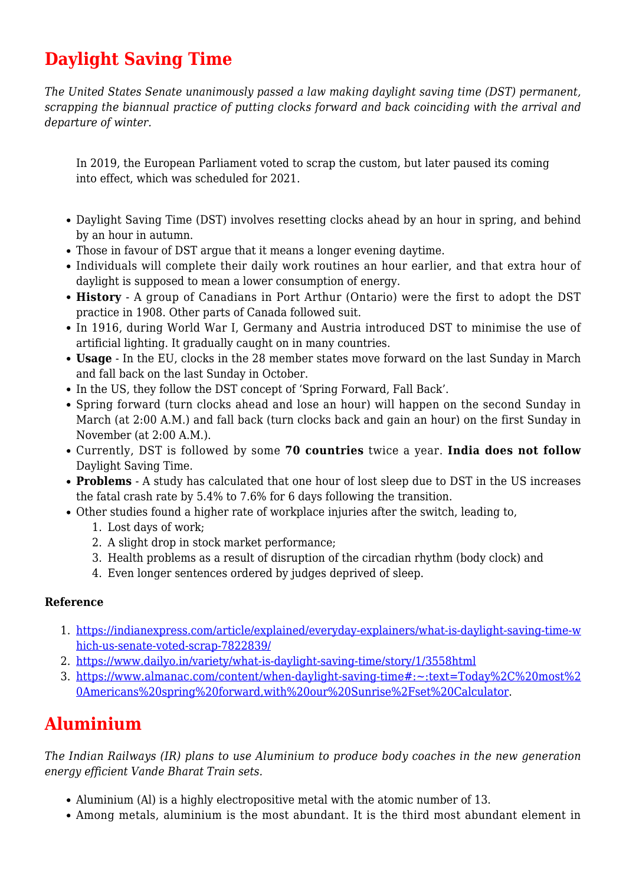# **Daylight Saving Time**

*The United States Senate unanimously passed a law making daylight saving time (DST) permanent, scrapping the biannual practice of putting clocks forward and back coinciding with the arrival and departure of winter.*

In 2019, the European Parliament voted to scrap the custom, but later paused its coming into effect, which was scheduled for 2021.

- Daylight Saving Time (DST) involves resetting clocks ahead by an hour in spring, and behind by an hour in autumn.
- Those in favour of DST argue that it means a longer evening daytime.
- Individuals will complete their daily work routines an hour earlier, and that extra hour of daylight is supposed to mean a lower consumption of energy.
- **History** A group of Canadians in Port Arthur (Ontario) were the first to adopt the DST practice in 1908. Other parts of Canada followed suit.
- In 1916, during World War I, Germany and Austria introduced DST to minimise the use of artificial lighting. It gradually caught on in many countries.
- **Usage** In the EU, clocks in the 28 member states move forward on the last Sunday in March and fall back on the last Sunday in October.
- In the US, they follow the DST concept of 'Spring Forward, Fall Back'.
- Spring forward (turn clocks ahead and lose an hour) will happen on the second Sunday in March (at 2:00 A.M.) and fall back (turn clocks back and gain an hour) on the first Sunday in November (at 2:00 A.M.).
- Currently, DST is followed by some **70 countries** twice a year. **India does not follow** Daylight Saving Time.
- **Problems** A study has calculated that one hour of lost sleep due to DST in the US increases the fatal crash rate by 5.4% to 7.6% for 6 days following the transition.
- Other studies found a higher rate of workplace injuries after the switch, leading to,
	- 1. Lost days of work;
	- 2. A slight drop in stock market performance;
	- 3. Health problems as a result of disruption of the circadian rhythm (body clock) and
	- 4. Even longer sentences ordered by judges deprived of sleep.

### **Reference**

- 1. [https://indianexpress.com/article/explained/everyday-explainers/what-is-daylight-saving-time-w](https://indianexpress.com/article/explained/everyday-explainers/what-is-daylight-saving-time-which-us-senate-voted-scrap-7822839/) [hich-us-senate-voted-scrap-7822839/](https://indianexpress.com/article/explained/everyday-explainers/what-is-daylight-saving-time-which-us-senate-voted-scrap-7822839/)
- 2. [https://www.dailyo.in/variety/what-is-daylight-saving-time/story/1/3558html](https://www.dailyo.in/variety/what-is-daylight-saving-time/story/1/35582.html)
- 3. [https://www.almanac.com/content/when-daylight-saving-time#:~:text=Today%2C%20most%2](https://www.almanac.com/content/when-daylight-saving-time#:~:text=Today%2C%20most%20Americans%20spring%20forward,with%20our%20Sunrise%2Fset%20Calculator) [0Americans%20spring%20forward,with%20our%20Sunrise%2Fset%20Calculator](https://www.almanac.com/content/when-daylight-saving-time#:~:text=Today%2C%20most%20Americans%20spring%20forward,with%20our%20Sunrise%2Fset%20Calculator).

## **Aluminium**

*The Indian Railways (IR) plans to use Aluminium to produce body coaches in the new generation energy efficient Vande Bharat Train sets.*

- Aluminium (Al) is a highly electropositive metal with the atomic number of 13.
- Among metals, aluminium is the most abundant. It is the third most abundant element in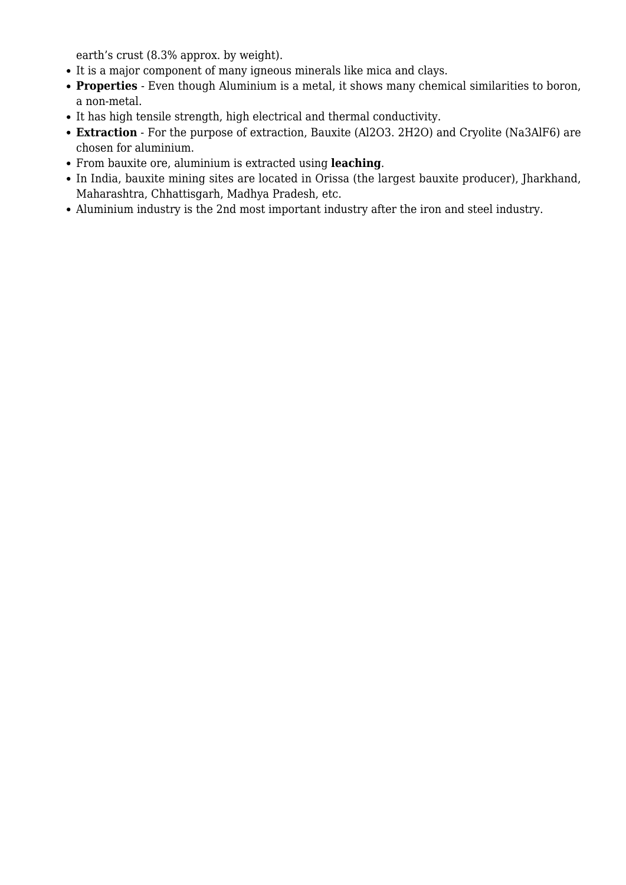earth's crust (8.3% approx. by weight).

- It is a major component of many igneous minerals like mica and clays.
- **Properties** Even though Aluminium is a metal, it shows many chemical similarities to boron, a non-metal.
- It has high tensile strength, high electrical and thermal conductivity.
- **Extraction** For the purpose of extraction, Bauxite (Al2O3. 2H2O) and Cryolite (Na3AlF6) are chosen for aluminium.
- From bauxite ore, aluminium is extracted using **leaching**.
- In India, bauxite mining sites are located in Orissa (the largest bauxite producer), Jharkhand, Maharashtra, Chhattisgarh, Madhya Pradesh, etc.
- Aluminium industry is the 2nd most important industry after the iron and steel industry.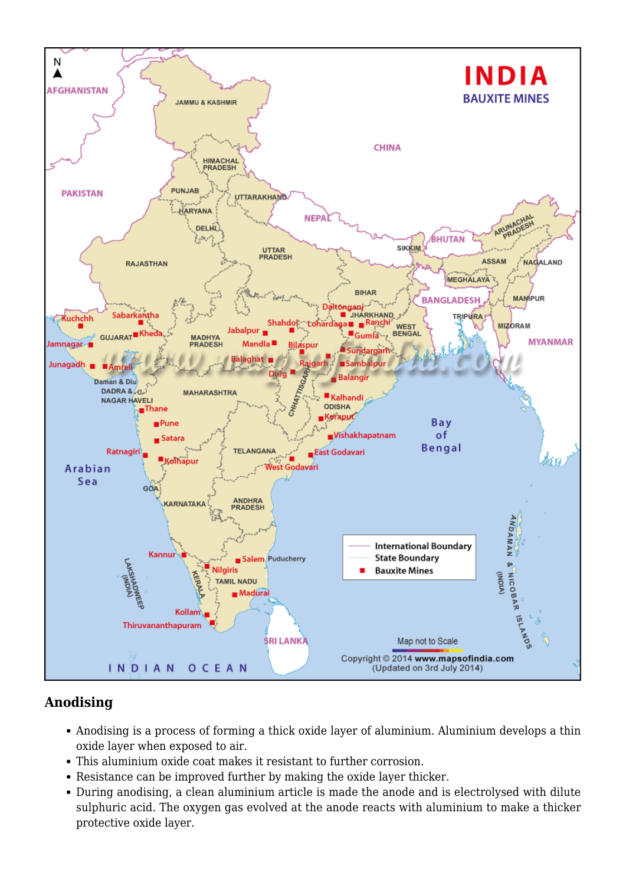

## **Anodising**

- Anodising is a process of forming a thick oxide layer of aluminium. Aluminium develops a thin oxide layer when exposed to air.
- This aluminium oxide coat makes it resistant to further corrosion.
- Resistance can be improved further by making the oxide layer thicker.
- During anodising, a clean aluminium article is made the anode and is electrolysed with dilute sulphuric acid. The oxygen gas evolved at the anode reacts with aluminium to make a thicker protective oxide layer.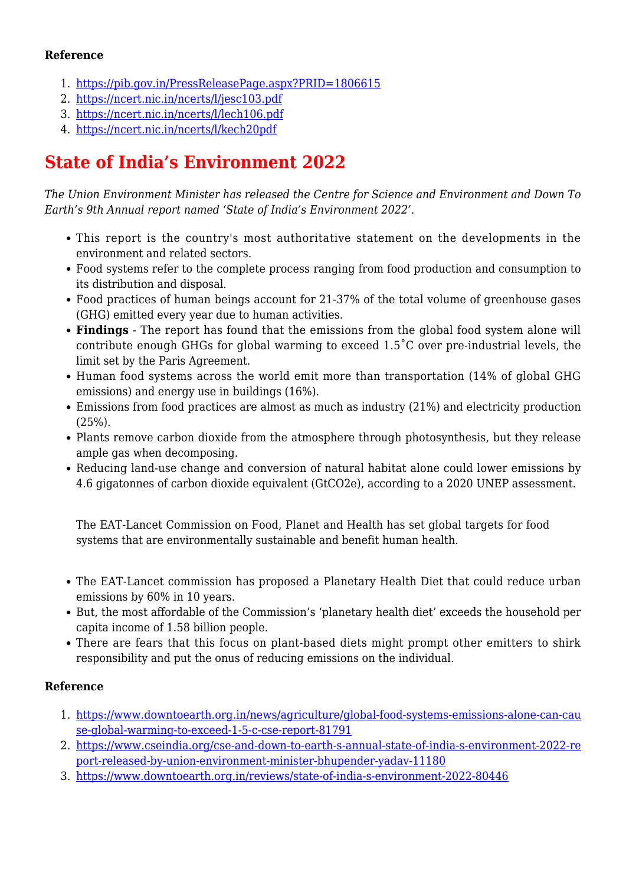### **Reference**

- 1. <https://pib.gov.in/PressReleasePage.aspx?PRID=1806615>
- 2. <https://ncert.nic.in/ncerts/l/jesc103.pdf>
- 3. <https://ncert.nic.in/ncerts/l/lech106.pdf>
- 4. [https://ncert.nic.in/ncerts/l/kech20pdf](https://ncert.nic.in/ncerts/l/kech204.pdf)

## **State of India's Environment 2022**

*The Union Environment Minister has released the Centre for Science and Environment and Down To Earth's 9th Annual report named 'State of India's Environment 2022'.*

- This report is the country's most authoritative statement on the developments in the environment and related sectors.
- Food systems refer to the complete process ranging from food production and consumption to its distribution and disposal.
- Food practices of human beings account for 21-37% of the total volume of greenhouse gases (GHG) emitted every year due to human activities*.*
- **Findings** The report has found that the emissions from the global food system alone will contribute enough GHGs for global warming to exceed 1.5˚C over pre-industrial levels, the limit set by the Paris Agreement.
- Human food systems across the world emit more than transportation (14% of global GHG emissions) and energy use in buildings (16%).
- Emissions from food practices are almost as much as industry (21%) and electricity production (25%).
- Plants remove carbon dioxide from the atmosphere through photosynthesis, but they release ample gas when decomposing.
- Reducing land-use change and conversion of natural habitat alone could lower emissions by 4.6 gigatonnes of carbon dioxide equivalent (GtCO2e), according to a 2020 UNEP assessment.

The EAT-Lancet Commission on Food, Planet and Health has set global targets for food systems that are environmentally sustainable and benefit human health.

- The EAT-Lancet commission has proposed a Planetary Health Diet that could reduce urban emissions by 60% in 10 years.
- But, the most affordable of the Commission's 'planetary health diet' exceeds the household per capita income of 1.58 billion people.
- There are fears that this focus on plant-based diets might prompt other emitters to shirk responsibility and put the onus of reducing emissions on the individual.

### **Reference**

- 1. [https://www.downtoearth.org.in/news/agriculture/global-food-systems-emissions-alone-can-cau](https://www.downtoearth.org.in/news/agriculture/global-food-systems-emissions-alone-can-cause-global-warming-to-exceed-1-5-c-cse-report-81791) [se-global-warming-to-exceed-1-5-c-cse-report-81791](https://www.downtoearth.org.in/news/agriculture/global-food-systems-emissions-alone-can-cause-global-warming-to-exceed-1-5-c-cse-report-81791)
- 2. [https://www.cseindia.org/cse-and-down-to-earth-s-annual-state-of-india-s-environment-2022-re](https://www.cseindia.org/cse-and-down-to-earth-s-annual-state-of-india-s-environment-2022-report-released-by-union-environment-minister-bhupender-yadav-11180) [port-released-by-union-environment-minister-bhupender-yadav-11180](https://www.cseindia.org/cse-and-down-to-earth-s-annual-state-of-india-s-environment-2022-report-released-by-union-environment-minister-bhupender-yadav-11180)
- 3. <https://www.downtoearth.org.in/reviews/state-of-india-s-environment-2022-80446>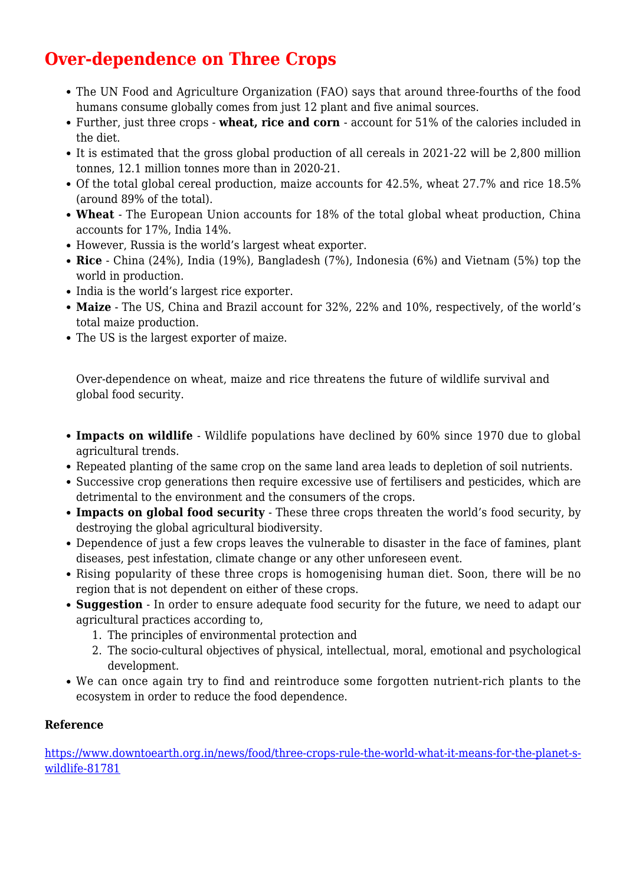# **Over-dependence on Three Crops**

- The UN Food and Agriculture Organization (FAO) says that around three-fourths of the food humans consume globally comes from just 12 plant and five animal sources.
- Further, just three crops **wheat, rice and corn**  account for 51% of the calories included in the diet.
- It is estimated that the gross global production of all cereals in 2021-22 will be 2,800 million tonnes, 12.1 million tonnes more than in 2020-21.
- Of the total global cereal production, maize accounts for 42.5%, wheat 27.7% and rice 18.5% (around 89% of the total).
- **Wheat** The European Union accounts for 18% of the total global wheat production, China accounts for 17%, India 14%.
- However, Russia is the world's largest wheat exporter.
- **Rice** China (24%), India (19%), Bangladesh (7%), Indonesia (6%) and Vietnam (5%) top the world in production.
- India is the world's largest rice exporter.
- **Maize** The US, China and Brazil account for 32%, 22% and 10%, respectively, of the world's total maize production.
- The US is the largest exporter of maize.

Over-dependence on wheat, maize and rice threatens the future of wildlife survival and global food security.

- **Impacts on wildlife** Wildlife populations have declined by 60% since 1970 due to global agricultural trends.
- Repeated planting of the same crop on the same land area leads to depletion of soil nutrients.
- Successive crop generations then require excessive use of fertilisers and pesticides, which are detrimental to the environment and the consumers of the crops.
- **Impacts on global food security** These three crops threaten the world's food security, by destroying the global agricultural biodiversity.
- Dependence of just a few crops leaves the vulnerable to disaster in the face of famines, plant diseases, pest infestation, climate change or any other unforeseen event.
- Rising popularity of these three crops is homogenising human diet. Soon, there will be no region that is not dependent on either of these crops.
- **Suggestion** In order to ensure adequate food security for the future, we need to adapt our agricultural practices according to,
	- 1. The principles of environmental protection and
	- 2. The socio-cultural objectives of physical, intellectual, moral, emotional and psychological development.
- We can once again try to find and reintroduce some forgotten nutrient-rich plants to the ecosystem in order to reduce the food dependence.

### **Reference**

[https://www.downtoearth.org.in/news/food/three-crops-rule-the-world-what-it-means-for-the-planet-s](https://www.downtoearth.org.in/news/food/three-crops-rule-the-world-what-it-means-for-the-planet-s-wildlife-81781)[wildlife-81781](https://www.downtoearth.org.in/news/food/three-crops-rule-the-world-what-it-means-for-the-planet-s-wildlife-81781)